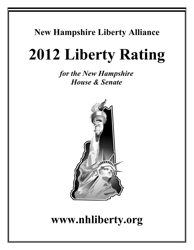## **New Hampshire Liberty Alliance**

# **2012 Liberty Rating**

*for the New Hampshire House & Senate*



## **www.nhliberty.org**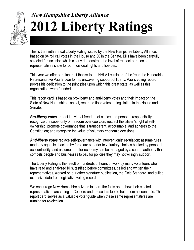

## *New Hampshire Liberty Alliance* **2012 Liberty Ratings**

This is the ninth annual Liberty Rating issued by the New Hampshire Liberty Alliance, based on 84 roll call votes in the House and 30 in the Senate. Bills have been carefully selected for inclusion which clearly demonstrate the level of respect our elected representatives show for our individual rights and liberties.

This year we offer our sincerest thanks to the NHLA Legislator of the Year, the Honorable Representative Paul Brown for his unwavering support of liberty. Paul's voting record proves his dedication to the principles upon which this great state, as well as this organization, were founded.

This report card is based on pro-liberty and anti-liberty votes and their impact on the State of New Hampshire—actual, recorded floor votes on legislation in the House and Senate.

**Pro-liberty votes** protect individual freedom of choice and personal responsibility; recognize the superiority of freedom over coercion; respect the citizen's right of selfownership; promote governance that is transparent, accountable, and adheres to the Constitution; and recognize the value of voluntary economic decisions.

*Anti-liberty votes* replace self-governance with interventionist regulation; assume rules made by agencies backed by force are superior to voluntary choices backed by personal accountability; and assume a better economy can be managed by a central authority that compels people and businesses to pay for policies they may not willingly support.

The Liberty Rating is the result of hundreds of hours of work by many volunteers who have read and analyzed bills, testified before committees, called and written their representatives, worked on our other signature publication, the Gold Standard, and culled extensive data from legislative voting records.

We encourage New Hampshire citizens to learn the facts about how their elected representatives are voting in Concord and to use this tool to hold them accountable. This report card serves as a valuable voter guide when these same representatives are running for re-election.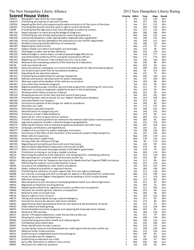|              | The TWW Thampshire Elberty Thinance                                                                 |                |     | $2012$ TeW TRADISTING EXECUT |      |        |
|--------------|-----------------------------------------------------------------------------------------------------|----------------|-----|------------------------------|------|--------|
|              | <b>Scored House Votes</b>                                                                           | Priority NHLA  |     | Yeas                         | Nays | Result |
| CACR11       | Renewable 7 year terms for state judges.                                                            | 2              | Yea | 218                          | 120  | Win    |
| CACR13       | Prohibiting any new tax on personal income.                                                         | 3              | Yea | 257                          | 101  | Win    |
| CACR26       | Repealing the chief justice governing the administration of all the courts of the state.            | $\overline{2}$ | Yea | 237                          | 115  | Win    |
| CACR31       | Providing that parents have the natural right to control the health.                                | 3              | Yea | 204                          | 154  | Win    |
| CACR8        | Providing that the legislature shall have the power to authorize schools.                           | $\overline{2}$ | Yea | 222                          | 133  | Win    |
| HB1146       | Requiring pupils to stand during the pledge of allegiance.                                          | 2              | Nay | 168                          | 180  | Win    |
| HB1182       | Prohibiting the sale of baby food products containing bisphenol A.                                  | $\mathbf{1}$   | Nay | 166                          | 125  | Loss   |
| HB1206       | Continuing obligations under expired public employee labor agreements.                              | 1              | Yea | 198                          | 137  | Win    |
|              |                                                                                                     |                |     |                              |      |        |
| HB1246       | Pistol licenses may be submitted to the state police or the sheriff's department.                   | 1              | Yea | 199                          | 127  | Win    |
| HB1282       | Workforce housing and the definition of community.                                                  | $1\,$          | Yea | 180                          | 133  | Win    |
| HB1285       | Repealing the state art fund.                                                                       | $\mathbf{1}$   | Nay | 210                          | 76   | Loss   |
| HB1297       | Federal health care reform and health care exchanges.                                               | 3              | Yea | 219                          | 94   | Win    |
| HB1301       | Challenges to voters and written affidavits.                                                        | $\mathbf{1}$   | Nay | 235                          | 129  | Loss   |
| HB1329       | Default budget in certain towns include proposed budget efficiencies.                               | $\overline{2}$ | Yea | 118                          | 177  | Loss   |
| HB1332       | Law enforcement authority of fish and game conservation officers.                                   | $\overline{2}$ | Nay | 171                          | 174  | Win    |
| HB1341       | Repealing use of firearms in the compact part of a city or town.                                    | $1\,$          | Yea | 196                          | 146  | Win    |
| HB1360       | Relative to the rulemaking authority of the state board of education.                               | 3              | Yea | 238                          | 88   | Win    |
| <b>HB138</b> | Cold case homicide unit.                                                                            | $\mathbf 1$    | Nay | 254                          | 93   | Loss   |
| HB1403       | State and national sovereignty curriculum and studying the Intl. Baccalaureate program.             | $\overline{2}$ | Yea | 209                          | 102  | Win    |
|              |                                                                                                     |                |     | 93                           | 212  | Win    |
| HB1438       | Use of police personnel files for exculpatory evidence                                              | $\mathbf{1}$   | Nay |                              |      |        |
| HB1440       | Expanding driver education options.                                                                 | $\overline{2}$ | Yea | 237                          | 75   | Win    |
| HB1452       | Prohibiting the establishment of sobriety checkpoints.                                              | $\overline{2}$ | Nay | 240                          | 120  | Loss   |
| HB1460       | Defined contribution retirement plan for public employees.                                          | 3              | Yea | 197                          | 104  | Win    |
| HB1474       | Attorneys need not be members of the state bar association.                                         | $\mathbf{1}$   | Yea | 199                          | 88   | Win    |
| HB1487       | Low carbon fuel standards programs.                                                                 | $\overline{2}$ | Yea | 243                          | 96   | Win    |
| HB1490       | Regional greenhouse gas initiative cap and trade program for controlling CO <sup>2</sup> emissions. | $\overline{2}$ | Yea | 211                          | 74   | Win    |
| HB1492       | Employers to verify an employee's eligibility to work in the United States.                         | $\overline{2}$ | Yea | 226                          | 59   | Win    |
| HB1511       | Allowing certain felons to possess firearms.                                                        | 1              | Nay | 261                          | 58   | Loss   |
| HB1526       | Allowing possession of less than one-half ounce of marijuana.                                       | 3              | Yea | 162                          | 161  | Win    |
| HB1549       | Prohibiting motor vehicle records for any federal identification database.                          | 3              | Yea | 253                          | 106  | Win    |
| HB1560       | Interstate Health Care Compact.                                                                     | 3              | Yea | 253                          | 92   | Win    |
| HB1590       |                                                                                                     |                |     | 249                          |      |        |
|              | Disclosure to patients of the charges for medical procedures.                                       | $\mathbf 1$    | Yea |                              | 89   | Win    |
| HB1607       | Education tax credit.                                                                               | 3              | Yea | 173                          | 127  | Win    |
| HB1642       | Destination specialty hospitals.                                                                    | $1\,$          | Yea | 198                          | 161  | Win    |
| HB1645       | Decertification of a bargaining unit.                                                               | 1              | Yea | 194                          | 141  | Win    |
| HB1650       | Commerce in food in New Hampshire.                                                                  | $\overline{2}$ | Nay | 278                          | 60   | Loss   |
| HB1651       | State S.W.A.T. units to equip tactical cameras.                                                     | 1              | Nay | 200                          | 122  | Loss   |
| HB1652       | Transfer of insurance premium tax revenue to the revenue stabilization reserve account.             | $\overline{2}$ | Yea | 283                          | 81   | Win    |
| HB1666       | Legislative approval of public collective bargaining agreements.                                    | 3              | Yea | 251                          | 124  | Win    |
| HB1674       | Reducing the interest rate on overdue property tax payments and other taxes.                        | 1              | Nay | 207                          | 104  | Loss   |
| HB1676       | Campaign contributions and expenditures.                                                            | $\overline{2}$ | Yea | 230                          | 82   | Win    |
| HB1677       | Freedom of association for public employees and unions                                              | 3              | Yea | 198                          | 139  | Win    |
| HB1692       | Elimination of the office of the chancellor of the university system of New Hampshire.              | $\mathbf{1}$   | Yea | 247                          | 105  | Win    |
|              | Motor vehicle inspections.                                                                          | $\overline{2}$ |     | 238                          |      |        |
| HB1693       |                                                                                                     |                | Nay |                              | 110  | Loss   |
| HB1695       | Increasing certain speed limits.                                                                    | 2              | Nay | 178                          | 126  | Loss   |
| HB1699       | Driving under the influence of drugs.                                                               | 3              | Yea | 94                           | 174  | Loss   |
| HB1705       | Regulating and taxing the purchase and use of marijuana.                                            | $\overline{2}$ | Yea | 228                          | 89   | Win    |
| HB1713       | Abolishing the department of education and transfer to BOE.                                         | $\mathbf{1}$   | Nay | 276                          | 44   | Loss   |
| HB1727       | Return certain insurance exchange moneys to the federal government.                                 | $\mathbf{1}$   | Yea | 218                          | 79   | Win    |
| HB194        | Prohibition on having or carrying a loaded crossbow.                                                | $\overline{2}$ | Yea | 204                          | 110  | Win    |
| HB219        | Restricting the authority of the state B.O.E. and reviewing B.O.E. rulemaking authority.            | 2              | Yea | 214                          | 110  | Win    |
| HB242        | Net operating loss carryover under the business profits tax.                                        | $\overline{2}$ | Yea | 259                          | 89   | Win    |
| HB263        | Adjusting time limits for Temporary Assistance for Needy Families Program (TANF) assistance.        | $\overline{2}$ | Yea | 211                          | 99   | Win    |
| HB29         | Petitioning the superior court pistol/revolver license.                                             | 2              | Nay | 221                          | 123  | Loss   |
| HB309        | Insurance not compelled to cover certain procedures.                                                | $\mathbf{1}$   | Yea | 229                          | 133  | Win    |
| HB334        | State's authority to prohibit or regulate firearms.                                                 | $1\,$          | Yea | 180                          | 144  | Win    |
|              | Prohibiting the collection of certain agency fees from non agency employees.                        |                |     |                              |      |        |
| HB383        |                                                                                                     | $1\,$          | Yea | 212                          | 128  | Win    |
| <b>HB388</b> | 911 services surcharge and VoIP surcharges for deposit in the enhanced 911 system fund.             | $1\,$          | Nay | 214                          | 140  | Loss   |
| HB415        | Access to abuse and neglect investigation records pending a child custody dispute.                  | 2              | Yea | 217                          | 129  | Win    |
| HB437        | Definition of marriage.                                                                             | $\mathbf{2}$   | Nay | 133                          | 202  | Win    |
| HB440        | New Hampshire to join the lawsuit challenging federal health care reform legislation.               | $\mathbf 1$    | Yea | 211                          | 83   | Win    |
| HB445        | Regulation of electronic tracking devices.                                                          | $\mathbf{1}$   | Yea | 293                          | 53   | Win    |
| HB446        | Repealing the authority for regulation of certain professional occupations.                         | 3              | Yea | 151                          | 203  | Loss   |
| HB486        | Penalties for alcohol ignition interlock circumvention.                                             | $\mathbf{2}$   | Nay | 259                          | 48   | Loss   |
| HB514        | Relative to entry on private land.                                                                  | $\overline{2}$ | Yea | 260                          | 98   | Win    |
| HB536        | Natural right to carry a firearm.                                                                   | 3              | Yea | 193                          | 122  | Win    |
| HB574        | Taking of private property during a state of emergency.                                             | $\overline{2}$ | Yea | 257                          | 87   | Win    |
| <b>HB587</b> | Grounds for divorce for persons with minor children.                                                | 3              | Yea | 274                          | 84   | Win    |
| HB592        | Apportioning state representative districts and relative to the boundaries of wards.                | $1\,$          | Yea | 255                          | 97   | Win    |
| HB593        | Video lottery and table gaming.                                                                     | $\mathbf{1}$   | Nay | 118                          | 226  | Win    |
|              |                                                                                                     |                |     |                              |      |        |
| HB595        | Parent-directed instruction programs and repealing the home education statutes.                     | $\mathbf{2}$   | Nay | 263                          | 82   | Loss   |
| HB628        | Relative to TSA searches.                                                                           | $\overline{2}$ | Yea | 188                          | 136  | Win    |
| SB155        | Section 179 expense deductions under the business profits tax.                                      | $\mathbf{1}$   | Yea | 231                          | 79   | Win    |
| SB160        | Allowing for certain installment loans.                                                             | $\overline{2}$ | Yea | 208                          | 139  | Win    |
| SB286        | Controlled drug prescription health and safety program.                                             | $\overline{2}$ | Nay | 160                          | 116  | Loss   |
| SB287        | Confidential prescription data.                                                                     | $\mathbf{2}$   | Yea | 226                          | 106  | Win    |
| SB289        | Photo identification to vote in person.                                                             | $\overline{2}$ | Nay | 226                          | 115  | Loss   |
| SB295        | Increasing the research and development tax credit against the business profits tax.                | $\mathbf{1}$   | Yea | 198                          | 100  | Win    |
| SB334        | Medicare unfair trade practices.                                                                    | 1              | Nay | 212                          | 126  | Loss   |
| SB343        | Establishing an independent board of psychologists.                                                 | $1\,$          | Nay | 249                          | 81   | Loss   |
| SB348        | Pulse oximetry test for newborns.                                                                   | $1\,$          | Nay | 95                           | 183  | Win    |
| SB372        | Establishing an education tax credit.                                                               | $\overline{2}$ | Yea | 236                          | 97   | Win    |
|              |                                                                                                     |                |     |                              |      |        |
| SB406        | Early offer alternative in medical injury claims.                                                   | $\mathbf{1}$   | Nay | 236                          | 103  | Loss   |
| SB409        | Marijuana for medicinal purposes.                                                                   | 3              | Yea | 236                          | 96   | Win    |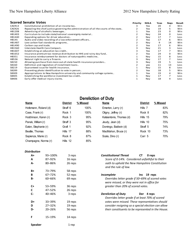|                    | <b>Scored Senate Votes</b>                                                              | Priority | <b>NHLA</b> | Yeas | Nays | <b>Result</b> |
|--------------------|-----------------------------------------------------------------------------------------|----------|-------------|------|------|---------------|
| CACR13             | Constitutional prohibition of an income tax                                             |          | Yea         | 20   | 4    | Win           |
| CACR <sub>26</sub> | Repealing the chief justice governing the administration of all the courts of the state |          | Yea         | 19   | 5    | Win           |
| HB1208             | Advertising of alcoholic beverages                                                      |          | Yea         | 23   | 0    | Win           |
| HB1403             | Curriculum to include state/national sovereignty material                               |          | Nay         | 24   | 0    | Loss          |
| HB1440             | Expanding options for driver education                                                  |          | Nay         | 17   |      | Loss          |
| HB145              | Audio and video recording of a law enforcement officers                                 |          | Yea         | 17   | 6    | Win           |
| HB1487             | Low carbon fuel standards programs                                                      |          | Nay         | 9    | 14   | Win           |
| HB1490             | Carbon cap and trade.                                                                   |          | Yea         | 17   | 6    | Win           |
| HB1560             | Interstate Health Care Compact                                                          |          | Nay         | 21   | 3    | Loss          |
| HB1607             | Establishing an education tax credit                                                    |          | Yea         | 17   |      | Win           |
| HB1652             | Insurance premium tax revenue distribution to HHS and rainy day fund                    |          | Yea         | 24   | 0    | Win           |
| HB351              | Insurance reimbursement for doctors of naturopathic medicine                            |          | Nay         | 15   | 8    | Loss          |
| HB536              | Natural right to carry a firearm.                                                       |          | Nay         | 17   |      | Loss          |
| SB150              | Allowing purchase from more out-of-state health insurance providers                     |          | Nay         | 19   | 5.   | Loss          |
| SB160              | Definition and regulation of installment loans                                          |          | yea         | 11   | 13   | Loss          |
| SB219              | Guaranteed issue for health insurance                                                   |          | Nay         | 15   | 8    | Loss          |
| SB289              | Presenting photo identification to vote in person                                       |          | Yea         | 18   | 5    | Win           |
| SB309              | Appropriations to New Hampshire university and community college systems                |          | Yea         | 19   | 4    | Win           |
| SB405              | Establishing the workforce investment tax credit                                        |          | Nay         | 17   |      | Loss          |
| SB406              | Early offer medical injury claims.                                                      |          | Nay         | 18   | 4    | Loss          |

## **Dereliction of Duty**

| <b>Name</b>           | <b>District</b> | % Missed | Name                     | <b>District</b> | % Missed |
|-----------------------|-----------------|----------|--------------------------|-----------------|----------|
| Hofemann, Roland (d)  | Straff 6        | 100%     | Emerton, Larry (r)       | Hills 7         | 83%      |
| Case, Frank (r)       | Rock 1          | 100%     | Oligny, Jeffrey (r)      | Rock 8          | 82%      |
| Hutchinson, Karen (r) | Rock 3          | 95%      | Katsiantonis, Thomas (d) | Hills 15        | 79%      |
| Panek, William (r)    | Straff 3        | 95%      | Jeudy, Jean (d)          | Hills 10        | 75%      |
| Eaton, Stephanie (r)  | Graft 1         | 92%      | Domingo, Baldwin (d)     | Straff 5        | 74%      |
| Beattie, Thomas       | Hills 17        | 88%      | MacMahon, Bruce (r)      | Rock 10         | 73%      |
| Sapienza, Marie (r)   | Rock 8          | 87%      | Scala, Dino (r)          | Carr 5          | 70%      |
| Champagne, Norma (r)  | Hills 12        | 85%      |                          |                 |          |

| <b>Distribution</b> |            |         |                                                                                                 |
|---------------------|------------|---------|-------------------------------------------------------------------------------------------------|
| $A+$                | 93-100%    | 3 reps  | <b>Constitutional Threat</b><br>СT<br>0 reps                                                    |
| A                   | 87-92%     | 16 reps | Score of 0-14%. Considered unfaithful to their                                                  |
| A-                  | 80-86%     | 26 reps | oath to uphold the New Hampshire Constitution<br>and the rule of law.                           |
| $B+$                | 73-79%     | 58 reps |                                                                                                 |
| B                   | $67 - 72%$ | 52 reps | <b>Incomplete</b><br>19 reps<br>Inc.                                                            |
| <b>B-</b>           | 60-66%     | 69 reps | Overrides letter grade if 50–69% of scored votes<br>were missed, or they were not in office for |
| $C+$                | 53-59%     | 36 reps | greater than 20% of scored votes.                                                               |
| C                   | 47-52%     | 26 reps |                                                                                                 |
| $C-$                | 40-46%     | 3 reps  | <b>Dereliction of Duty</b><br>Der<br>4 reps<br>Overrides letter grade if at least 70% of scored |
| D+                  | 33-39%     | 19 reps | votes were missed. These representatives should                                                 |
| D                   | $27 - 32%$ | 19 reps | consider resigning so a special election can allow                                              |
| D-                  | 20-26%     | 56 reps | their constituents to be represented in the House.                                              |
| F                   | 15-19%     | 14 reps |                                                                                                 |
| <b>Speaker</b>      |            | 1 rep   |                                                                                                 |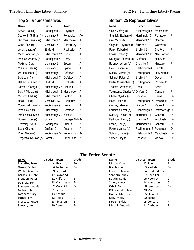## **Top 25 Representatives**

| Name                   | <b>District</b> | Town             |    |
|------------------------|-----------------|------------------|----|
| Brown, Paul (r)        | Rockingham 2    | Raymond          | A+ |
| Seaworth, G. Brian (r) | Merrimack 7     | Pembroke         | A+ |
| Simmons, Tammy (r)     | Hillsborough 18 | Manchester       | A+ |
| Cohn, Seth (r)         | Merrimack 6     | Canterbury       | A  |
| Jones, Laura (r)       | Strafford 1     | Rochester        | Α  |
| Maltz, Jonathan (r)    | Hillsborough 27 | Hudson           | Α  |
| Manuse, Andrew (r)     | Rockingham 5    | Derry            | А  |
| McGuire, Carol (r)     | Merrimack 8     | Epsom            | А  |
| McGuire, Dan (r)       | Merrimack 8     | Epsom            | Α  |
| Warden, Mark (r)       | Hillsborough 7  | Goffstown        | А  |
| Burt, John (r)         | Hillsborough 7  | Goffstown        | Α  |
| DeLemus, Susan (r)     | Strafford 1     | Rochester        | Α  |
| Lambert, George (r)    | Hillsborough 27 | Litchfield       | Α  |
| Ball, J. Michael (r)   | Hillsborough 18 | Manchester       | Α  |
| Murphy, Keith (r)      | Hillsborough 18 | Bedford          | A  |
| Hoell, J.R. (r)        | Merrimack 13    | Dunbarton        | Α  |
| Comerford, Timothy (r) | Rockingham 9    | Fremont          | Α  |
| Pratt, Calvin (r)      | Hillsborough 7  | Goffstown        | Α  |
| McGuinness, Sean (r)   | Hillsborough 20 | Nashua           | A  |
| Bowers, Spec (r)       | Sullivan 3      | Georges Mills A- |    |
| Tremblay, Stella (r)   | Rockingham 3    | Auburn           | А- |
| Sova, Charles (r)      | Grafton 10      | Auburn           | А- |
| Ritter, Glenn (r)      | Rockingham 14   | Kensington       | А- |
| Tregenza, Norman (r)   | Carroll 2       | Silver Lake      | А- |

### **Bottom 25 Representatives**

| <u>Name</u>                      | <b>District</b> | <b>Town</b>       |    |
|----------------------------------|-----------------|-------------------|----|
| Goley, Jeffrey (d)               | Hillsborough 8  | Manchester        | F  |
| Shurtleff, Stephen (d)           | Merrimack 10    | Penacook          | F  |
| Gile, Mary (d)                   | Merrimack 10    | Concord           | F  |
| Gagnon, Raymond (d)              | Sulliven 4      | Claremont         | F  |
| Perry, Robert (d)                | Strafford 3     | Strafford         | F  |
| Foose, Robert (d)                | Merrimack 11    | New London        | F  |
| Nordgren, Sharon (d)             | Grafton 9       | Hanover           | F  |
| Butynski, William (d)            | Cheshire 4      | Hinsdale          | F  |
| Daler, Jennifer (d)              | Hillsborough 4  | Temple            | F  |
| Moody, Marcia (d)                | Rockingham 12   | <b>New Market</b> | F  |
| Schmidt, Peter (d)               | Strafford 4     | Dover             | F  |
| Serlin, Christopher (d)          | Rockingham 16   | Portsmouth        | F  |
| Thomas, Yvonne (d)               | Coos 4          | <b>Berlin</b>     | F  |
| Townsend, Charles (d) Grafton 10 |                 | Canaan            | F  |
| Chase, Cynthia (d)               | Cheshire 3      | Keene             | D- |
| Read, Robin (d)                  | Rockingham 16   | Portsmouth        | D- |
| Cooney, Mary (d)                 | Grafton 7       | Plymouth          | D- |
| Leishman, Peter (d)              | Hillsborough 3  | Peterborough D-   |    |
| MacKay, James (d)                | Merrimack 11    | Concord           | D- |
| Parkhurst, Henry (d)             | Cheshire 4      | Winchester        | D- |
| Patten, Dick (d)                 | Merrimack 11    | Concord           | D- |
| Powers, James (d)                | Rockingham 16   | Portsmouth        | D- |
| Sullivan, Daniel (d)             | Hillsborough 8  | Manchester        | D- |
| Weber, Lucy (d)                  | Cheshire 2      | Walpole           | D- |

#### **The Entire Senate**

| Name              | <b>District</b><br>Town | Grade     | <b>Name</b>       | <b>District</b><br>Town | Grade |
|-------------------|-------------------------|-----------|-------------------|-------------------------|-------|
| Forsythe, James   | 4 Strafford             | $B+$      | Morse, Chuck      | 22 Salem                | B     |
| Groen, Fenton     | 6 Rochester             | $B+$      | Bradley, Jeb      | 3 Wolfeboro             | C+    |
| White, Raymond    | 9 Bedford               | $B+$      | Carson, Sharon    | 14 Londonderry          | C+    |
| Barnes, Jr., John | 17 Raymond              | B-        | Sanborn, Andy     | 7 Henniker              | C+    |
| Bragdon, Peter    | 11 Milford              | <b>B-</b> | Boutin, David     | 16 Hooksett             | C     |
| De Blois, Tom     | 18 Manchester           | <b>B-</b> | Stiles, Nancy     | 24 Hampton              |       |
| Forrester, Jeanie | 2 Meredith              | <b>B-</b> | Odell, Bob        | 8 Lempster              | D+    |
| Gallus, John      | 1 Berlin                | <b>B-</b> | D'Allesandro, Lou | 20 Manchester           | D-    |
| Lambert, Gary     | 13 Nashua               | <b>B-</b> | Houde, Matthew    | 5 Plainfield            | F     |
| Luther, Jim       | 12 Hollis               | <b>B-</b> | Kelly, Molly      | 10 Keene                |       |
| Prescott, Russell | 23 Kingston             | <b>B-</b> | Larsen, Sylvia    | 15 Concord              |       |
| Rausch, Jim       | 19 Derry                | <b>B-</b> | Merrill, Amanda   | 21 Durham               |       |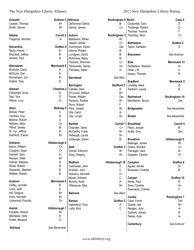| Acworth             | Sullivan 5 Atkinson |                    | Rockingham 6 Berlin |                    | Coos 4           |
|---------------------|---------------------|--------------------|---------------------|--------------------|------------------|
| Laware, Thomas      | B+                  | DeSimone, Debra    | <b>B-</b>           | Coulombe, Gary     | D                |
| Smith, Steven       | B+                  | Garrity, James     | $C+$                | Theberge, Robert   | D                |
|                     |                     |                    |                     | Thomas, Yvonne     | $\mathsf F$      |
| Albany              | Carroll 2           | <b>Auburn</b>      | Rockingham 3        | Tremblay, Marc     | $C+$             |
| Tregenza, Norman    | $A-$                | Baldasaro, Alfred  | B+                  |                    |                  |
|                     |                     | Headd, James       | $C+$                | <b>Bethlehem</b>   | <b>Grafton 2</b> |
| Alexandria          | Grafton 8           | Hutchinson, Karen  | Der                 |                    | D                |
|                     |                     |                    | <b>B-</b>           | Taylor, Kathleen   |                  |
| Reilly, Harold      | <b>B-</b>           | Introne, Robert    |                     |                    |                  |
| Shackett, Jeffrey   | <b>B-</b>           | Lundgren, David    | <b>B-</b>           | <b>Boscawen</b>    | See Andover      |
| Simard, Paul        | B                   | McKinney, Betsy    | <b>B-</b>           |                    |                  |
|                     |                     | Packard, Sherman   | $C+$                | <b>Bow</b>         | Merrimack 13     |
| Allenstown          | Merrimack 8         | Tamburello, Daniel | Inc                 | DeStefano, Stephen | D-               |
| McGuire, Carol      | Α                   | Tremblay, Stella   | A-                  | Hoell, J.R.        | Α                |
| McGuire, Dan        | Α                   |                    |                     | Keane, Thomas      | B                |
| Richardson, Jon     | <b>B-</b>           | <b>Barnstead</b>   | See Alton           |                    |                  |
| Soltani, Tony       | B                   |                    |                     | <b>Bradford</b>    | Merrimack 5      |
|                     |                     | <b>Barrington</b>  | <b>Strafford 3</b>  | Lindsley, Mark     | <b>B-</b>        |
| Alstead             | <b>Cheshire 2</b>   | Cataldo, Sam       | Β                   | Sanborn, Laurie    | B                |
| Cartwright, Anne    | А-                  | O'Connor, William  | $B+$                |                    |                  |
| Sad, Tara           | D                   |                    |                     |                    |                  |
|                     | D-                  | Panek, William     | Der                 | <b>Brentwood</b>   | Rockinghom 10    |
| Weber, Lucy         |                     | Parsons, Robbie    | $B+$                | MacMahon, Bruce    | Der              |
|                     |                     | Perry, Robert      | F                   |                    |                  |
| Alton               | Belknap 5           | Pitre, Joseph      | $B+$                | <b>Bridgewater</b> | See Alexandria   |
| Bolster, Peter      | С                   | Vita, Carol        | А-                  |                    |                  |
| Comtois, Guy        | А-                  | Vita, Lucien       | $B+$                | <b>Bristol</b>     | See Alexandria   |
| Malone, Robert      | Α                   |                    |                     |                    |                  |
| Millham, Alida      | D+                  | <b>Bartlett</b>    | Carroll 1           | <b>Brookfield</b>  | Carroll 5        |
| Pilliod, James      | <b>B-</b>           | Chandler, Gene     | $C+$                | Fleck, Joseph      | <b>B-</b>        |
| St. Cyr, Jeffrey    | <b>B-</b>           | McCarthy, Frank    | $B+$                | Scala, Dino        | Der              |
| Swinford, Elaine    | B+                  | Pettengill, Laurie | $B+$                |                    |                  |
|                     |                     | Umberger, Karen    | <b>B-</b>           | <b>Brookline</b>   | Hillsborough 5   |
| <b>Amherst</b>      | Hillsborough 6      |                    |                     | Belanger, James    | B+               |
| Belvin, William     | C+                  |                    | <b>Grafton 3</b>    |                    | $C+$             |
|                     | $C+$                | <b>Bath</b>        |                     | Drisko, Richard    |                  |
| Coughlin, Sean      |                     | Gionet, Edmond     | $B+$                | Flanagan, Jack     | B-               |
| Daniels, Gary       | А-                  | Sorg, Gregory      | $B+$                | Gargasz, Carolyn   | D+               |
| Hansen, Peter       | B+                  |                    |                     |                    |                  |
| Palmer, Stephen     | А-                  | <b>Bedford</b>     | Hillsborough 18     | Campton            | Grafton 6        |
| Rowe, Robert        | <b>B-</b>           | Cebrowski, John    | С                   | Aguiar, James      | D-               |
| Stepanek, Stephen   | B                   | Graham, John       | С                   | Brosseau, Charles  | B                |
| Willette, Robert    | B                   | Hawkins, Kenneth   | $C+$                |                    |                  |
|                     |                     | Moran, Edward      | $\mathsf C$         | Canaan             | Grafton 10       |
| Andover             | Merrimack 6         | Murphy, Keith      | A                   | Mirski, Paul       | B                |
| Coffey, Jennifer    | Β                   | Villeneuve, Moe    | B+                  | Sova, Charles      | A+               |
| Cohn, Seth          | Α                   |                    |                     | Townsend, Charles  | F                |
| Hill, Gregory       | B+                  | <b>Belmont</b>     | See Alton           |                    |                  |
| Kreis, Kenneth      | B+                  |                    |                     | Candia             | Rockingham 1     |
|                     |                     |                    |                     |                    |                  |
| Lockwood, Priscilla | D+                  | <b>Benton</b>      | Grafton 5           | Case, Frank        | Der              |
|                     |                     | Ingbretson, Paul   | А-                  | Duarte, Joe        | B+               |
| <b>Antrim</b>       | Hillsborough 1      | Ladd, Rick         | $\mathsf C$         | Reagan, John       | A-               |
| Fredette, Robert    | B+                  |                    |                     | Sullivan, James    | B                |
| Mecheski, Holly     | Β                   |                    |                     | Tasker, Kyle       | A-               |
| Porter, Marjorie    | D-                  |                    |                     |                    |                  |
|                     |                     |                    |                     | Canterbury         | See Andover      |
| Ashland             | See Alexandria      |                    |                     |                    |                  |
|                     |                     |                    |                     |                    |                  |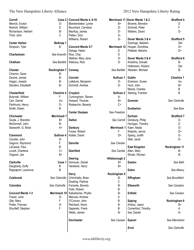| Carroll                  | Coos 2             | Concord Wards 4, 8-10    |                       | Merrimack 11 Dover Wards 1 & 2 | <b>Strafford 4</b> |
|--------------------------|--------------------|--------------------------|-----------------------|--------------------------------|--------------------|
| Merrick, Evalyn          | D-                 | Blankenbeker, Lynne      | $B+$                  | Browne, Brendon                | D                  |
| Remick, William          | D                  | Bouchard, Candace        | D-                    | Schmidt, Peter                 | F                  |
| Richardson, Herbert      | <b>B-</b>          | MacKay, James            | D-                    | Watters, David                 | D-                 |
| Tholl, John              | C                  | Patten, Dick             | D-                    |                                |                    |
|                          |                    | Williams, Robert         | D-                    | Dover Wards 3 & 4              | <b>Strafford 5</b> |
| <b>Center Harbor</b>     | Belknap 1          |                          |                       | Domingo, Baldwin               | Der                |
| Simpson, Tyler           | B                  | <b>Concord Wards 5-7</b> | Merrimack 12          | Hooper, Dorothea               | D+                 |
|                          |                    | Deloge, Helen            | D                     | Pelletier, Marsha              | D+                 |
| Charlestown              | See Acworth        | Rice, Chip               | D                     |                                |                    |
|                          |                    | Wallner, Mary Jane       | D-                    | Dover Wards 5 & 6              | Strafford 6        |
| Chatham                  | See Bartlett       | Watrous, Rick            | D-                    | Andolina, Donald               | B-                 |
|                          |                    |                          |                       | Hofemann, Roland               | Der                |
| <b>Chester</b>           | Rockingham 7       | Conway                   | See Bartlett          | Weeden, Michael                | B-                 |
| Charron, Gene            | B-                 |                          |                       |                                |                    |
| Devine, James            | <b>B-</b>          | Cornish                  | Sullivan 1            | <b>Dublin</b>                  | <b>Cheshire 7</b>  |
| Hagan, Joseph            | <b>B-</b>          | Lefebvre, Benjamin       | D-                    | Emerson, Susan                 | Inc                |
| Sanders, Elisabeth       | <b>B-</b>          | Schmidt, Andrew          | D-                    | Hunt, John                     | $B+$               |
|                          |                    |                          |                       | Moore, Charles                 | B                  |
| <b>Chesterfield</b>      | <b>Cheshire 4</b>  | Croydon                  | Sullivan <sub>2</sub> | Sterling, Franklin             | B                  |
| Butynski, William        | F                  | Cunningham, Steven       | A-                    |                                |                    |
| Carr, Daniel             | Inc                | Howard, Thomas           | B+                    | <b>Dummer</b>                  | See Clarkville     |
| Parkhurst, Henry         | D-                 | Rodeschin, Beverly       | $C+$                  |                                |                    |
| Smith, Edwin             | B                  |                          |                       | <b>Dunbarton</b>               | See Bow            |
|                          |                    | <b>Center Ossipee</b>    | See Freedom           |                                |                    |
| <b>Chichester</b>        | <b>Merrimack 7</b> |                          |                       | Durham                         | <b>Strafford 7</b> |
| Giuda, J. Brandon        | B+                 | <b>Dalton</b>            | See Carroll           | Ginsburg, Philip               | D-                 |
| McDonnell, John          | <b>B-</b>          |                          |                       | Horrigan, Timothy              | D                  |
| Seaworth, G. Brian       | A+                 | <b>Danbury</b>           | Merrimack 1           | Kaen, Naida                    | D-                 |
|                          |                    | Foose, Robert            | F                     | Roberts, Jenna                 | D+                 |
| <b>Claremont</b>         | Sullivan 4         | Kidder, David            | D+                    | Spang, Judith                  | D-                 |
| Cloutier, John           | D-                 |                          |                       | Wall, Janet                    | D-                 |
| Gagnon, Raymond          | F                  | <b>Danville</b>          | See Chester           |                                |                    |
| LaCasse, Paul            | B                  |                          |                       | <b>East Kingston</b>           | Rockingham 11      |
| Lovett, Charlene         | $C+$               | <b>Deerfield</b>         | See Candia            | Allen, Mary                    | B-                 |
| Osgood, Joe              | $B+$               |                          |                       | Shuler, Wyman                  | <b>B-</b>          |
|                          |                    | <b>Deering</b>           | Hillsborough 2        |                                |                    |
| Clarkville               | Coos 1             | Donovan, Daniel          | B+                    | Easton                         | See Bath           |
| Daugherty, Duffy         | B                  | Hardwick, Harry          | $B+$                  |                                |                    |
| Rappaport, Laurence      | В                  |                          |                       | Eaton                          | See Albany         |
|                          |                    | <b>Derry</b>             | Rockingham 5          |                                |                    |
| Colebrook                | See Clarkville     | Chirichiello, Brian      | B-                    | Effingham                      | See Brookfield     |
|                          |                    | Dowling, Patricia        | С                     |                                |                    |
| Columbia                 | See Clarkville     | Ferrante, Beverly        | <b>B-</b>             | <b>Ellsworth</b>               | See Campton        |
|                          |                    | Fesh, Robert             | В                     |                                |                    |
| <b>Concord Wards 1-3</b> | Merrimack 10       | Katsakiores, Phyllis     | <b>B-</b>             | Enfield                        | See Canaan         |
| Frazer, June             | D-                 | Manuse, Andrew           | Α                     |                                |                    |
| Gile, Mary               | F                  | O'Connor, John           | В                     | <b>Epping</b>                  | Rockingham 9       |
| Potter, Frances          | D-                 | Reichard, Kevin          | Β                     | Antosz, Jason                  | B+                 |
| Shurtleff, Stephen       | F                  | Sapareto, Frank          | В                     | Comerford, Timothy             | Α                  |
|                          |                    | Webb, James              | <b>B-</b>             | Itse, Daniel                   | А-                 |
|                          |                    | <b>Dorchester</b>        | See Canaan            | Epsom                          | See Allenstown     |
|                          |                    |                          |                       |                                |                    |
|                          |                    |                          |                       | Errol                          | See Clarkville     |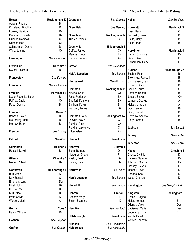| <b>Exeter</b><br>Abrami, Patrick | Rockingham 13<br>В- | Grantham                     | See Cornish      | <b>Hollis</b>      | See Brookline      |
|----------------------------------|---------------------|------------------------------|------------------|--------------------|--------------------|
| Copeland, Timothy                | D                   | Greenfield                   | See Deering      | Hooksett           | Merrimack 9        |
| Lovejoy, Patricia                | D-                  |                              |                  | Hess, David        | С                  |
| Peckham, Michele                 | <b>B-</b>           | Greenland                    | Rockingham 17    | Kotowski, Frank    | $B+$               |
| Quandt, Marshall                 | $\mathsf C$         | Tucker, Pamela               | B                | Smith, Molly       | B                  |
| Quandt, Matt                     | $C+$                |                              |                  | Smith, Todd        | <b>B-</b>          |
| Schlachman, Donna                | D-                  | Greenville                   | Hillsborough 3   |                    |                    |
| Ward, Joanne                     | $C+$                | Coffey, James                | C+               | Hopkinton          | <b>Merrimack 4</b> |
|                                  |                     | Marcus, Bruce                | Inc              | Hamm, Christine    | D-                 |
| Farmington                       | See Barrington      | Parison, James               | А-               | Owen, Derek        | D                  |
|                                  |                     |                              |                  | Richardson, Gary   | D-                 |
| <b>Fitzwilliam</b>               | <b>Cheshire 5</b>   | Groton                       | See Alexandria   |                    |                    |
| Dwinell, Richard                 | <b>B-</b>           |                              |                  | Hudson             | Hillsborough 27    |
|                                  |                     | <b>Hale's Location</b>       | See Bartlett     | Boehm, Ralph       | B-                 |
| Francestown                      |                     |                              |                  |                    | B-                 |
|                                  | See Deering         |                              |                  | Brownrigg, Randall |                    |
|                                  |                     | Hampstead                    | See Kingston     | Christiansen, Lars | B+                 |
| Franconia                        | See Bethlehem       |                              |                  | Doherty, Shaun     | B                  |
|                                  |                     | Hampton                      | Rockingham 15    | Gandia, Laura      | C+                 |
| Franklin                         | <b>Merrimack 2</b>  | Nevins, Chris                | C+               | Haefner, Robert    | B-                 |
| Lauer-Rago, Kathleen             | B                   | Rice, Frederick              | B+               | Jasper, Shawn      | C+                 |
| Palfrey, David                   | $C+$                | Sheffert, Kenneth            | B+               | Lambert, George    | A                  |
| Reed, Dennis                     | <b>B-</b>           | Sullivan, Kevin              | B-               | Maltz, Jonathan    | A                  |
|                                  |                     | Waddell, James               | D+               | Ober, Lynne        | B+                 |
| Freedom                          | Carroll 3           |                              |                  | Ober, Russell      | B+                 |
| Babson, David                    | B                   | <b>Hampton Falls</b>         | Rockingham 14    | Renzullo, Andrew   | B+                 |
| McConkey, Mark                   | B                   | Janvrin, Kevin               | C                | Ulery, Jordan      | B+                 |
| Merrow, Harry                    | B                   | Perkins, Amy                 | $C+$             |                    |                    |
|                                  |                     | Perkins, Lawrence            | C                | Jackson            | See Bartlett       |
| Fremont                          | See Epping          | Ritter, Glenn                | A-               |                    |                    |
|                                  |                     |                              |                  | Jaffrey            | See Dublin         |
| Gilford                          | See Alton           | Hancock                      | See Antrim       |                    |                    |
|                                  |                     |                              |                  | Jefferson          | See Carroll        |
| Gilmanton                        | Belknap 6           | Hanover                      | Grafton 9        |                    |                    |
|                                  | B-                  |                              | D-               | Keene              | <b>Cheshire 3</b>  |
| Russell, David                   |                     | Benn, Bernard                |                  |                    |                    |
|                                  |                     | Nordgren, Sharon             | F                | Chase, Cynthia     | D-                 |
| Gilsum                           |                     | Cheshire 1   Pastor, Beatriz | D-               | Hawkes, Samuel     | D-                 |
| Moore, Robert                    | <b>B-</b>           | Pierce, David                | D-               | Johnsen, Gladys    | D-                 |
|                                  |                     |                              |                  | Lindsey, Steven    | D+                 |
| Goffstown                        | Hillsborough 7      | Harrisville                  | See Dublin       | Meader, David      | D                  |
| Burt, John                       | A                   |                              |                  | Roberts, Kris      | D+                 |
| Day, Russell                     | C                   | <b>Hart's Location</b>       | See Bartlett     | Weed, Charles      | D-                 |
| Emerton, Larry                   | Der                 |                              |                  |                    |                    |
| Hikel, John                      | $B+$                | Haverhill                    | See Benton       | Kensington         | See Hampton Falls  |
| Hopper, Gary                     | B                   |                              |                  |                    |                    |
| Kurk, Neal                       | <b>B-</b>           | Hebron                       | <b>Grafton 7</b> | Kingston           | Rockingham 8       |
| Pratt, Calvin                    | A                   | Cooney, Mary                 | D-               | Birdsell, Regina   | В-                 |
| Warden, Mark                     | Α                   | Smith, Suzanne               | D-               | Major, Norman      | B                  |
|                                  |                     |                              |                  | Oligny, Jeffrey    | Der                |
| Gorham                           | Coos 3              | Henniker                     | See Bradford     | Sapienza, Marie    | Der                |
| Hatch, William                   | D+                  |                              |                  | Sedensky, John     | <b>B-</b>          |
|                                  |                     | Hillsborough                 | See Antrim       | Welch, David       | <b>B-</b>          |
|                                  |                     |                              |                  |                    | B                  |
| Goshen                           | See Croydon         | Hinsdale                     | See Chesterfield | Weyler, Kenneth    |                    |
|                                  |                     |                              |                  |                    |                    |
| Grafton                          | See Canaan          | <b>Holderness</b>            | See Alexandria   |                    |                    |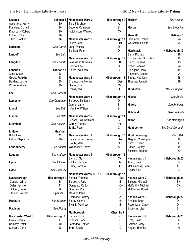| Laconia<br>Accornero, Harry | Belknap 4<br>B+  | <b>Manchester Ward 2</b><br>Ball, J. Michael | Hillsborough 9<br>Α | <b>Marlow</b>           | See Alstead      |
|-----------------------------|------------------|----------------------------------------------|---------------------|-------------------------|------------------|
| Flanders, Donald            | B-               | DeJong, Cameron                              | B                   | Mason                   | See Brookline    |
| Kingsbury, Robert           | B+               | Hutchinson, Winfred                          | $C+$                |                         |                  |
| Luther, Robert              | B-               |                                              |                     | <b>Meredith</b>         | <b>Belknap 3</b> |
| Tilton, Franklin            | B-               | <b>Manchester Ward 3</b>                     | Hillsborough 10     | Greemore, Robert        | A-               |
|                             |                  | Jeudy, Jean                                  | Der                 | Worsman, Colette        | A-               |
| Lancaster                   | See Carroll      | Long, Patrick                                | D                   |                         |                  |
|                             |                  | Sullivan, Peter                              | D-                  | <b>Merrimack</b>        | Hillsborough 19  |
| Landoff                     | See Bath         |                                              |                     | Barry, Richard          | в                |
|                             |                  | <b>Manchester Ward 4</b>                     | Hillsborough 11     | Christensen, D.L. Chris | B                |
| Langdon                     | See Acworth      | Levasseur, Nickolas                          | D+                  | Hinch, Richard          | B-               |
|                             |                  | Pepino, Leo                                  | С                   | Notter, Jeanine         | A-               |
| Lebanon                     | Grafton 11       | Souza, Kathleen                              | <b>B-</b>           | Pellegrino, Tony        | В-               |
| Almy, Susan                 | D-               |                                              |                     | Peterson, Lenette       | А-               |
| Gould, Franklin             | D-               | <b>Manchester Ward 5</b>                     | Hillsborough 12     | Stroud, Kathleen        | В-               |
| Harding, Laurie             | D-               | Champagne, Norma                             | Der                 | Thomas, Joseph          | <b>B-</b>        |
| White, Andrew               | D-               | Gimas, John                                  | C-                  |                         |                  |
|                             |                  | Rokas, Ted                                   | D                   | <b>Middleton</b>        | See Barrington   |
| Lee                         | See Durham       |                                              |                     |                         |                  |
|                             |                  | <b>Manchester Ward 6</b>                     | Hillsborough 13     | <b>Milana</b>           | See Berlin       |
|                             | See Claremont    |                                              | D-                  |                         |                  |
| Lempster                    |                  | Baroody, Benjamin                            |                     | <b>Milford</b>          |                  |
| Lincoln                     | See Bath         | Gagne, Larry                                 | В<br><b>B-</b>      |                         | See Amherst      |
|                             |                  | Infantine, William                           |                     | <b>Millsfield</b>       | See Clarkville   |
| Lisbon                      | See Bath         | <b>Manchester Ward 7</b>                     | Hillsborough 14     |                         |                  |
|                             |                  |                                              |                     | <b>Milton</b>           |                  |
|                             |                  | Cusson-Cail, Kathleen                        | B-                  |                         | See Barrington   |
| Litchfield                  | See Hudson       | Garrity, Patrick                             | Inc                 |                         |                  |
|                             |                  |                                              |                     |                         |                  |
|                             |                  | Terrio, Ross                                 | C                   | <b>Mont Vernon</b>      | See Lyndeborough |
| Littleton                   | <b>Grafton 1</b> |                                              |                     |                         |                  |
| Bulis, Lyle                 | C                | <b>Manchester Ward 8</b>                     | Hillsborough 15     | Moultonborough          | Carroll 4        |
| Eaton, Stephanie            | Der              | Katsiantonis, Thomas                         | Der                 | Ahlgren, Christopher    | B+               |
|                             |                  | Proulx, Mark                                 | С                   | Knox, J. David          | C                |
| Londonderry                 | See Auburn       | Vaillancourt, Steve                          | A-                  | Patten, Betsey          | B-               |
|                             |                  |                                              |                     | Schmidt, Stephen        | $C+$             |
| Loudon                      | See Andover      | <b>Manchester Ward 9</b>                     | Hillsborough 16     |                         |                  |
|                             |                  | Barry, J. Gail                               | C+                  | Nashua Ward 1           | Hillsborough 20  |
| Lyman                       | See Littleton    | Pilotte, Maurice                             | D-                  | Avard, Kevin            | B+               |
|                             |                  | Shaw, Barbara                                | D                   | McGuinness, Sean        | Α                |
| Lyme                        | See Hanover      |                                              |                     | Seidel, Carl            | $B+$             |
|                             |                  | Manchester Wards 10 - 12                     | Hillsborough 17     |                         |                  |
| Lyndeborough                | Hillsborough 4   | Beattie, Thomas                              | Der                 | Nashua Ward 2           | Hillsborough 21  |
| Condra, William             | B-               | Bergevin, Jerry                              | B                   | Balboni, Michael        | B+               |
| Daler, Jennifer             | F                | Gonzalez, Carlos                             | $C+$                | McCarthy, Michael       | $C+$             |
| Holden, Frank               | B                | Greazzo, Phil                                | B+                  | McClarren, Donald       | B+               |
| O'Brien, William            | Speaker          | Messier, Irene                               | C                   |                         |                  |
|                             |                  | Simmons, Tammy                               | $A+$                | Nashua Ward 3           | Hillsborough 22  |
| <b>Madbury</b>              | See Durham       | Soucy, Connie                                | B+                  | Rhodes, Brian           | D                |
|                             |                  | Swank, Matthew                               | B                   | Rosenwald, Cindy        | D-               |
| <b>Madison</b>              | See Albany       |                                              |                     | Scontsas, Lisa          | <b>B-</b>        |
|                             |                  | Marlborough                                  | Cheshire 6          |                         |                  |
| <b>Manchester Ward 1</b>    | Hillsborough 8   | Byrnes, John                                 | $C+$                | Nashua Ward 4           | Hillsborough 23  |
| Goley, Jeffrey              | F                | Johnson, Jane                                | C+                  | Cote, David             | D-               |
| Ramsey, Peter               | D+               | Lerandeau, Alfred                            | D-                  | Gorman, Mary            | D-               |
| Sullivan, Daniel            | D-               | Tatro, Bruce                                 | D                   | Hogan, Timothy          | Inc              |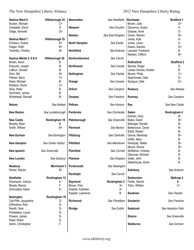| Nashua Ward 6          | Hillsborough 24    | <b>Newmarket</b>     | See Newfields     | Rochester               | <b>Strafford 1</b> |
|------------------------|--------------------|----------------------|-------------------|-------------------------|--------------------|
| Buxton, Michael        | C+                 |                      |                   | Brown, Julie            | D+                 |
| Campbell, David        | D                  | <b>Newport</b>       | See Croydon       | DeLemus, Susan          | A                  |
| Gidge, Kenneth         | D+                 |                      |                   | Grassie, Anne           | D-                 |
|                        |                    | <b>Newton</b>        | See East Kingston | Groen, Warren           | B+                 |
| Nashua Ward 7          | Hillsborough 25    |                      |                   | Jones, Kyle             | А-                 |
| Erickson, Duane        | B+                 | <b>North Hampton</b> | See Exeter        | Jones, Laura            | A                  |
| Hogan, Edith           | B+                 |                      |                   | Keans, Sandra           | D+                 |
| Twombly, Timothy       | B+                 | <b>Northfield</b>    | See Andover       | Leonard, Frederick      | B                  |
|                        |                    |                      |                   | Newton, Clifford        | $B+$               |
| Nashua Wards 5, 8 & 9  | Hillsborough 26    | Northumberland       | See Carroll       |                         |                    |
| Brown, Kevin           | B                  |                      |                   | <b>Rollinsford</b>      | <b>Strafford 2</b> |
| Krasucki, Joseph       | <b>B-</b>          | Northwood            | See Candia        | Berube, Roger           | D                  |
| LeBrun, Donald         | B-                 |                      |                   | Larsen Schultz, Kirsten | B                  |
|                        |                    |                      |                   |                         |                    |
| Ohm, Bill              | B+                 | Nottingham           | See Candia        | Munck, Philip           | $C+$               |
| Palmer, Barry          | $C+$               |                      |                   | Spainhower, Dale        | D-                 |
| Reed, Michael          | <b>B-</b>          | Orange               | See Canaan        | Sprague, Dale           | D+                 |
| Robbins, David         | $C+$               |                      |                   |                         |                    |
| Silva, Peter           | Β                  | Orford               | See Campton       | Roxbury                 | See Alstead        |
| Summers, James         | B                  |                      |                   |                         |                    |
| Whitehead, Randall     | B-                 | Ossipee              | See Freedom       | Rumney                  | See Campton        |
|                        |                    |                      |                   |                         |                    |
| <b>Nelson</b>          | See Alstead        | Pelham               | See Hudson        | <b>Rye</b>              | See New Castle     |
|                        |                    |                      |                   |                         |                    |
| <b>New Boston</b>      | See Lyndeborough   | Pembroke             | See Chichester    | <b>Salem</b>            | Rockingham 4       |
|                        |                    |                      |                   | Azarian, Gary           | B-                 |
| <b>New Castle</b>      | Rockingham 18      | Peterborough         | See Greenville    | Bates, David            | $B+$               |
| Murphy, Brian          | B                  |                      |                   | Belanger, Ronald        | B-                 |
| Smith, William         | $B+$               | Piermont             | See Benton        | Bettencourt, David      | B-                 |
|                        |                    |                      |                   | Elliott, Robert         | В-                 |
| <b>New Durham</b>      | See Barrington     | Pittsburg            | See Clarkville    | Garcia, Marilinda       | B+                 |
|                        |                    |                      |                   | Griffin, Mary           | В                  |
| <b>New Hampton</b>     | See Center Harbor  | <b>Pittsfield</b>    | See Allenstown    | Kolodziej, Walter       | B+                 |
|                        |                    |                      |                   | Mauro, Donna            | $B+$               |
| <b>New Ipswich</b>     | See Greenville     | Plainfield           | See Cornish       | McMahon, Charles        | B                  |
|                        |                    |                      |                   | Okerman, Richard        | B                  |
|                        | See Danbury        | <b>Plaistow</b>      | See Kingston      |                         |                    |
| <b>New London</b>      |                    |                      |                   | Sytek, John             | B                  |
|                        |                    |                      |                   | Waterhouse, Kevin       | B                  |
| <b>Newbury</b>         | <b>Merrimack 3</b> | Portsmouth           | See Newington     |                         |                    |
| Winter, Steven         | B+                 |                      |                   | Salisbury               | See Andover        |
|                        |                    | Randolph             | See Carroll       |                         |                    |
| <b>Newfields</b>       | Rockingham 12      |                      |                   | Sanbornton              | <b>Belknap 2</b>   |
| Davenport, Joshua      | А-                 | Raymond              | Rockingham 2      | Fields, Dennis          | B-                 |
| Moody, Marcia          | F                  | Brown, Paul          | A+                | Tobin, William          | $C+$               |
| Schroadter, Adam       | А-                 | Hoelzel, Kathleen    | А-                |                         |                    |
|                        |                    | Kappler, Lawrence    | B                 | Sandown                 | See Chester        |
| Newington              | Rockingham 16      |                      |                   |                         |                    |
| Cali-Pitts, Jacqueline | D-                 | Richmond             | See Fitzwilliam   | Sandwich                | See Freedom        |
| DiPentima, Rich        | D-                 |                      |                   |                         |                    |
| Norelli, Terie         | D-                 | Rindge               | See Dublin        | <b>Seabrook</b>         | See Hampton Falls  |
| Pantelakos, Laura      | D-                 |                      |                   |                         |                    |
| Powers, James          | D-                 |                      |                   | <b>Sharon</b>           | See Greenville     |
| Read, Robin            | D-                 |                      |                   |                         |                    |
| Serlin, Christopher    | F                  |                      |                   | Shelburne               | See Gorham         |
|                        |                    |                      |                   |                         |                    |
|                        |                    |                      |                   |                         |                    |
|                        |                    |                      |                   |                         |                    |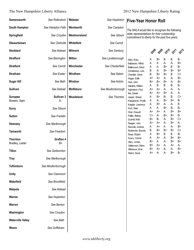| Somersworth                        | See Rollinsford          | Webster      | See Hopkinton      |
|------------------------------------|--------------------------|--------------|--------------------|
| <b>South Hampton</b>               | See Hampton Falls        | Wentworth    | See Campton        |
| Springfield                        | See Croydon              | Westmoreland | See Gilsum         |
| <b>Stewartstown</b>                | See Clarkville           | Whitefield   | See Carroll        |
| <b>Stoddard</b>                    | See Alstead              | Wilmont      | See Danbury        |
| <b>Strafford</b>                   | See Barrington           | Wilton       | See Lyndeborough   |
| <b>Stratford</b>                   | See Carroll              | Winchester   | See Chesterfield   |
| <b>Stratham</b>                    | See Exeter               | Windham      | See Salem          |
| <b>Sugar Hill</b>                  | See Bath                 | Windsor      | See Antrim         |
| <b>Sullivan</b>                    | See Alstead              | Wolfeboro    | See Moultonborough |
| <b>Sunapee</b><br>Bowers, Spec     | Sullivan 3<br>А-         | Woodstock    | See Thornton       |
| <b>Surry</b>                       | See Gilsum               |              |                    |
| <b>Sutton</b>                      | See Franklin             |              |                    |
| Swanzey                            | See Marlborough          |              |                    |
| <b>Tamworth</b>                    | See Freedom              |              |                    |
| <b>Thornton</b><br>Bradley, Lester | <b>Grafton 4</b><br>$B+$ |              |                    |
| <b>Tilton</b>                      | See Sanbornton           |              |                    |
| <b>Troy</b>                        | See Marlborough          |              |                    |
| <b>Tuftonboro</b>                  | See Moultonborough       |              |                    |
| Unity                              | See Claremont            |              |                    |
| Wakefield                          | See Brookfield           |              |                    |
| Walpole                            | See Alstead              |              |                    |
| Warner                             | See Hopkinton            |              |                    |
| Warren                             | See Benton               |              |                    |
| Washington                         | See Croydon              |              |                    |
| <b>Waterville Valley</b>           | See Bath                 |              |                    |
| Weare                              | See Goffstown            |              |                    |

#### **See Hopkinton Five-Year Honor Roll**

*The NHLA would like to recognize the following state representatives for their outstanding commitment to liberty for the past five years.*

 **Wilton** *See Lyndeborough* **Primary** *See Chester* See Sa See An **See Moultonbor k** See Thor

| rfield | Baldasaro, Allre   |
|--------|--------------------|
|        | Bettencourt, Dav   |
|        | Christiansen, La   |
| ılem   | Chandler, Gene     |
|        | Hogan, Edith       |
| ıtrim  | Hunt, John         |
|        | Infantine, William |
| ough   | Ingbretson, Paul   |
|        | Itse, Daniel       |
| mton   | Jasper, Shawn      |
|        | Katsakiores, Ph    |
|        | Kappler, Lawren    |
|        | Kurk, Neal         |
|        | Ober, Russell      |
|        | Patten, Betsey     |
|        | Quandt, Matt       |
|        | Reagan, John       |

| 2008 2009 2010 2011 2012 |  |  |
|--------------------------|--|--|
|                          |  |  |

| Allen, Mary          | А    | B+ | B  | B  | В- |
|----------------------|------|----|----|----|----|
| Baldasaro, Alfred    | А    | А  | А- | А- | В+ |
| Bettencourt, David   | А    | А  | B+ | B  | B- |
| Christiansen, Lars   | B    | А- | B+ | B+ | В+ |
| Chandler, Gene       | B    | B+ | B+ | B  | C+ |
| Hogan, Edith         | A+   | A+ | А- | A- | В+ |
| Hunt, John           | B+   | B+ | B+ | А- | B+ |
| Infantine, William   | А    | B  | B  | B- | B- |
| Ingbretson, Paul     | A+   | A+ | А- | А- | А- |
| Itse, Daniel         | $A+$ | A+ | B+ | А- | А- |
| Jasper, Shawn        | А    | B+ | B- | B. | C+ |
| Katsakiores, Phyllis | Α    | А- | B+ | B+ | В- |
| Kappler, Lawrence    | А    | B+ | А- | А- | B. |
| Kurk, Neal           | А    | А  | B+ | B- | B- |
| Ober, Russell        | A+   | A+ | А  | B+ | В+ |
| Patten, Betsey       | C+   | А- | B+ | B+ | B- |
| Quandt, Matt         | B+   | B- | А- | B+ | C+ |
| Reagan, John         | A+   | A+ | А- | B+ | А- |
| Renzullo, Andrew     | А    | A+ | А  | А- | В+ |
| Rodeschin, Beverly   | B    | B+ | B+ | B+ | C+ |
| Rowe, Robert         | А    | B+ | B  | B  | B- |
| Soucy, Connie        | А    | A+ | А- | B+ | В+ |
| Ulery, Jordan        | B+   | А  | А- | B+ | B+ |
| Vaillancourt, Steve  | B+   | A+ | А- | A+ | А- |
| Villeneuve, Moe      | B+   | A+ | А- | А- | B+ |
| Welch, David         | A+   | А- | А- | B+ | В- |